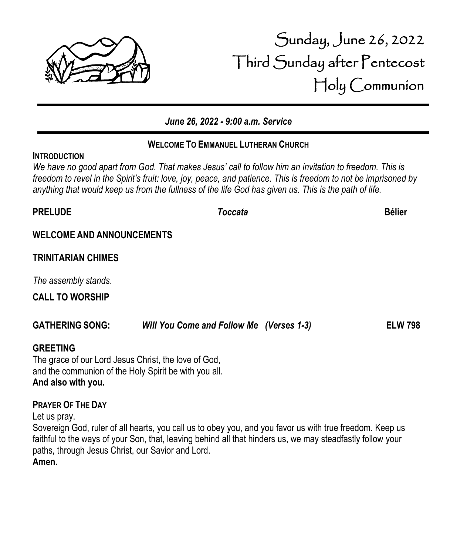

## **WELCOME TO EMMANUEL LUTHERAN CHURCH**

We have no good apart from God. That makes Jesus' call to follow him an *invitation* to freedom. This is *freedom to revel in the Spirit's fruit: love, joy, peace, and patience. This is freedom to not be imprisoned by anything that would keep us from the fullness of the life God has given us. This is the path of life.*

**WELCOME AND ANNOUNCEMENTS**

**INTRODUCTION**

# **TRINITARIAN CHIMES**

*The assembly stands*.

**CALL TO WORSHIP**

### **GATHERING SONG:** *Will You Come and Follow Me (Verses 1-3)* **ELW 798**

### **GREETING**

The grace of our Lord Jesus Christ, the love of God, and the communion of the Holy Spirit be with you all. **And also with you.**

### **PRAYER OF THE DAY**

Let us pray.

Sovereign God, ruler of all hearts, you call us to obey you, and you favor us with true freedom. Keep us faithful to the ways of your Son, that, leaving behind all that hinders us, we may steadfastly follow your paths, through Jesus Christ, our Savior and Lord.

**Amen.**



# Sunday, June 26, 2022 Third Sunday after Pentecost Holy Communion

**PRELUDE** *Toccata* **Bélier**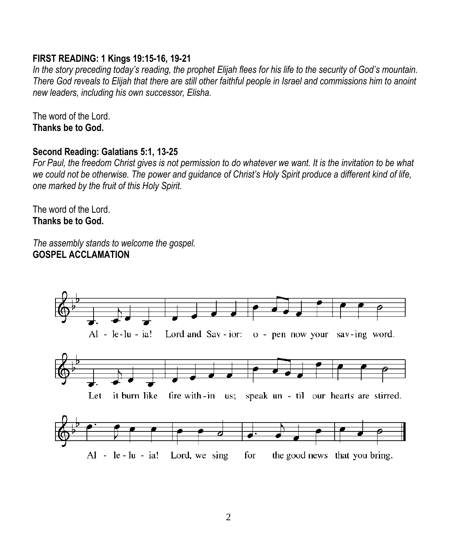## **FIRST READING: 1 Kings 19:15-16, 19-21**

*In the story preceding today's reading, the prophet Elijah flees for his life to the security of God's mountain. There God reveals to Elijah that there are still other faithful people in Israel and commissions him to anoint new leaders, including his own successor, Elisha.*

The word of the Lord. **Thanks be to God.**

### **Second Reading: Galatians 5:1, 13-25**

*For Paul, the freedom Christ gives is not permission to do whatever we want. It is the invitation to be what we could not be otherwise. The power and guidance of Christ's Holy Spirit produce a different kind of life, one marked by the fruit of this Holy Spirit.*

The word of the Lord. **Thanks be to God.**

*The assembly stands to welcome the gospel.* **GOSPEL ACCLAMATION**

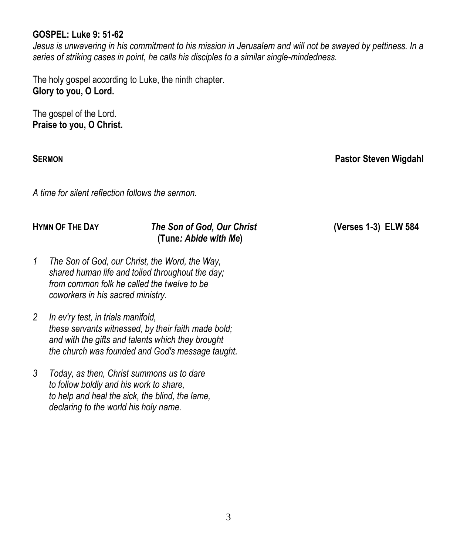### **GOSPEL: Luke 9: 51-62**

*Jesus is unwavering in his commitment to his mission in Jerusalem and will not be swayed by pettiness. In a series of striking cases in point, he calls his disciples to a similar single-mindedness.*

The holy gospel according to Luke, the ninth chapter. **Glory to you, O Lord.**

The gospel of the Lord. **Praise to you, O Christ.**

**SERMON Pastor Steven Wigdahl**

*A time for silent reflection follows the sermon.*

### **HYMN OF THE DAY** *The Son of God, Our Christ* **(Verses 1-3) ELW 584 (Tune***: Abide with Me***)**

- *1 The Son of God, our Christ, the Word, the Way, shared human life and toiled throughout the day; from common folk he called the twelve to be coworkers in his sacred ministry.*
- *2 In ev'ry test, in trials manifold, these servants witnessed, by their faith made bold; and with the gifts and talents which they brought the church was founded and God's message taught.*
- *3 Today, as then, Christ summons us to dare to follow boldly and his work to share, to help and heal the sick, the blind, the lame, declaring to the world his holy name.*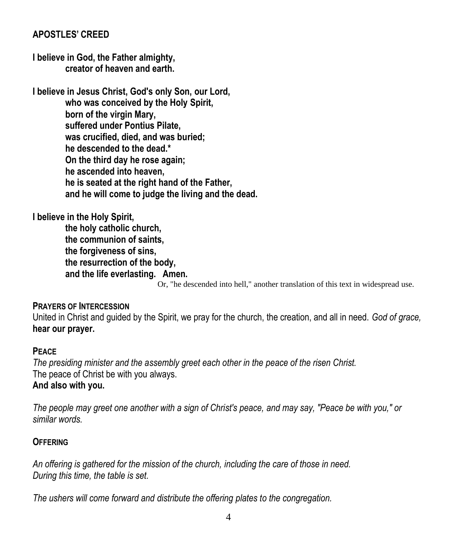# **APOSTLES' CREED**

**I believe in God, the Father almighty, creator of heaven and earth.**

**I believe in Jesus Christ, God's only Son, our Lord, who was conceived by the Holy Spirit, born of the virgin Mary, suffered under Pontius Pilate, was crucified, died, and was buried; he descended to the dead.\* On the third day he rose again; he ascended into heaven, he is seated at the right hand of the Father, and he will come to judge the living and the dead.**

**I believe in the Holy Spirit,**

**the holy catholic church, the communion of saints, the forgiveness of sins, the resurrection of the body, and the life everlasting. Amen.**

Or, "he descended into hell," another translation of this text in widespread use.

### **PRAYERS OF INTERCESSION**

United in Christ and guided by the Spirit, we pray for the church, the creation, and all in need. *God of grace,* **hear our prayer.**

### **PEACE**

*The presiding minister and the assembly greet each other in the peace of the risen Christ.* The peace of Christ be with you always.

### **And also with you.**

*The people may greet one another with a sign of Christ's peace, and may say, "Peace be with you," or similar words.*

### **OFFERING**

*An offering is gathered for the mission of the church, including the care of those in need. During this time, the table is set.*

*The ushers will come forward and distribute the offering plates to the congregation.*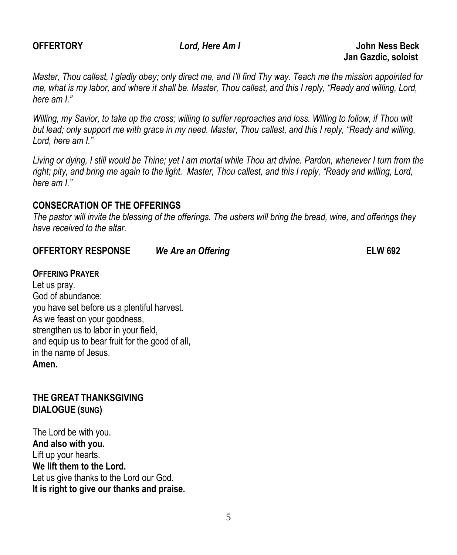**OFFERTORY** *Lord, Here Am I* **John Ness Beck Jan Gazdic, soloist**

*Master, Thou callest, I gladly obey; only direct me, and I'll find Thy way. Teach me the mission appointed for me, what is my labor, and where it shall be. Master, Thou callest, and this I reply, "Ready and willing, Lord, here am I."* 

*Willing, my Savior, to take up the cross; willing to suffer reproaches and loss. Willing to follow, if Thou wilt but lead; only support me with grace in my need. Master, Thou callest, and this I reply, "Ready and willing, Lord, here am I."* 

*Living or dying, I still would be Thine; yet I am mortal while Thou art divine. Pardon, whenever I turn from the*  right; pity, and bring me again to the light. Master, Thou callest, and this I reply, "Ready and willing, Lord, *here am I."* 

### **CONSECRATION OF THE OFFERINGS**

*The pastor will invite the blessing of the offerings. The ushers will bring the bread, wine, and offerings they have received to the altar.*

### **OFFERTORY RESPONSE** *We Are an Offering* **ELW 692**

### **OFFERING PRAYER**

Let us pray. God of abundance: you have set before us a plentiful harvest. As we feast on your goodness, strengthen us to labor in your field. and equip us to bear fruit for the good of all, in the name of Jesus. **Amen.**

## **THE GREAT THANKSGIVING DIALOGUE (SUNG)**

The Lord be with you. **And also with you.** Lift up your hearts. **We lift them to the Lord.** Let us give thanks to the Lord our God. **It is right to give our thanks and praise.**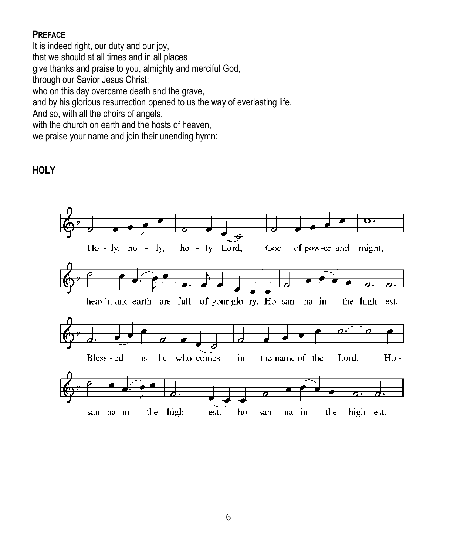## **PREFACE**

It is indeed right, our duty and our joy, that we should at all times and in all places give thanks and praise to you, almighty and merciful God, through our Savior Jesus Christ; who on this day overcame death and the grave, and by his glorious resurrection opened to us the way of everlasting life. And so, with all the choirs of angels, with the church on earth and the hosts of heaven,

we praise your name and join their unending hymn:

## **HOLY**

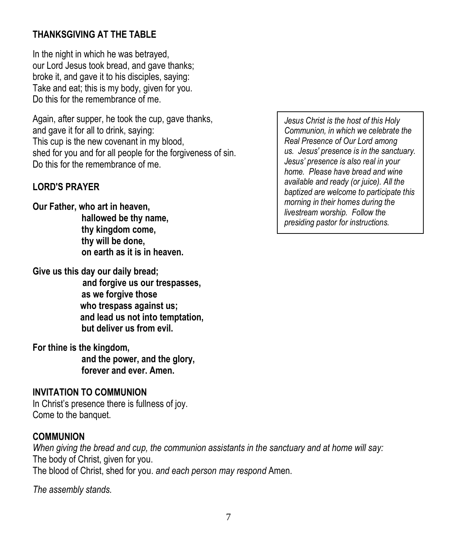# **THANKSGIVING AT THE TABLE**

In the night in which he was betrayed, our Lord Jesus took bread, and gave thanks; broke it, and gave it to his disciples, saying: Take and eat; this is my body, given for you. Do this for the remembrance of me.

Again, after supper, he took the cup, gave thanks, and gave it for all to drink, saying: This cup is the new covenant in my blood, shed for you and for all people for the forgiveness of sin. Do this for the remembrance of me.

# **LORD'S PRAYER**

**Our Father, who art in heaven, hallowed be thy name, thy kingdom come, thy will be done, on earth as it is in heaven.**

**Give us this day our daily bread;**

 **and forgive us our trespasses, as we forgive those who trespass against us; and lead us not into temptation, but deliver us from evil.**

**For thine is the kingdom,**

**and the power, and the glory, forever and ever. Amen.**

### **INVITATION TO COMMUNION**

In Christ's presence there is fullness of joy. Come to the banquet.

### **COMMUNION**

*When giving the bread and cup, the communion assistants in the sanctuary and at home will say:* The body of Christ, given for you. The blood of Christ, shed for you. *and each person may respond* Amen.

*The assembly stands.*

*Jesus Christ is the host of this Holy Communion, in which we celebrate the Real Presence of Our Lord among us. Jesus' presence is in the sanctuary. Jesus' presence is also real in your home. Please have bread and wine available and ready (or juice). All the baptized are welcome to participate this morning in their homes during the livestream worship. Follow the presiding pastor for instructions.*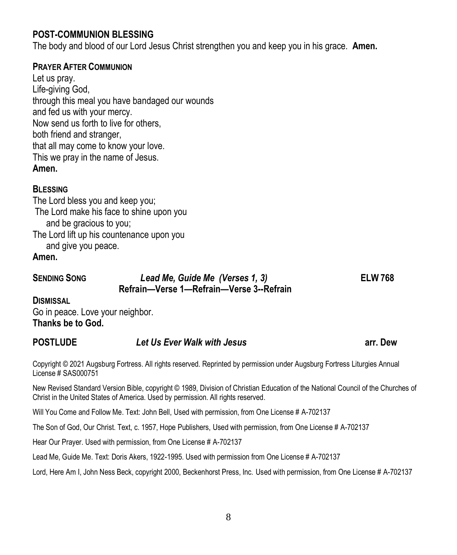# **POST-COMMUNION BLESSING**

The body and blood of our Lord Jesus Christ strengthen you and keep you in his grace. **Amen.**

### **PRAYER AFTER COMMUNION**

Let us pray. Life-giving God, through this meal you have bandaged our wounds and fed us with your mercy. Now send us forth to live for others, both friend and stranger, that all may come to know your love. This we pray in the name of Jesus. **Amen.**

### **BLESSING**

The Lord bless you and keep you; The Lord make his face to shine upon you and be gracious to you; The Lord lift up his countenance upon you and give you peace.

**Amen.**

# **SENDING SONG** *Lead Me, Guide Me (Verses 1, 3)* **ELW 768 Refrain—Verse 1—Refrain—Verse 3--Refrain**

**DISMISSAL** 

Go in peace. Love your neighbor. **Thanks be to God.** 

# **POSTLUDE** *Let Us Ever Walk with Jesus* **arr. Dew**

Copyright © 2021 Augsburg Fortress. All rights reserved. Reprinted by permission under Augsburg Fortress Liturgies Annual License # SAS000751

New Revised Standard Version Bible, copyright © 1989, Division of Christian Education of the National Council of the Churches of Christ in the United States of America. Used by permission. All rights reserved.

Will You Come and Follow Me. Text: John Bell, Used with permission, from One License # A-702137

The Son of God, Our Christ. Text, c. 1957, Hope Publishers, Used with permission, from One License # A-702137

Hear Our Prayer. Used with permission, from One License # A-702137

Lead Me, Guide Me. Text: Doris Akers, 1922-1995. Used with permission from One License # A-702137

Lord, Here Am I, John Ness Beck, copyright 2000, Beckenhorst Press, Inc. Used with permission, from One License # A-702137